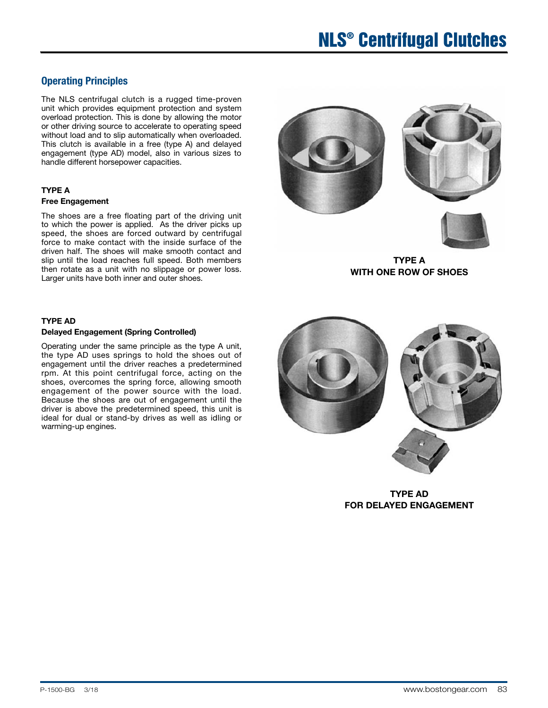## Operating Principles

The NLS centrifugal clutch is a rugged time-proven unit which provides equipment protection and system overload protection. This is done by allowing the motor or other driving source to accelerate to operating speed without load and to slip automatically when overloaded. This clutch is available in a free (type A) and delayed engagement (type AD) model, also in various sizes to handle different horsepower capacities.

### TYPE A Free Engagement

The shoes are a free floating part of the driving unit to which the power is applied. As the driver picks up speed, the shoes are forced outward by centrifugal force to make contact with the inside surface of the driven half. The shoes will make smooth contact and slip until the load reaches full speed. Both members then rotate as a unit with no slippage or power loss. Larger units have both inner and outer shoes.

### TYPE AD

#### Delayed Engagement (Spring Controlled)

Operating under the same principle as the type A unit, the type AD uses springs to hold the shoes out of engagement until the driver reaches a predetermined rpm. At this point centrifugal force, acting on the shoes, overcomes the spring force, allowing smooth engagement of the power source with the load. Because the shoes are out of engagement until the driver is above the predetermined speed, this unit is ideal for dual or stand-by drives as well as idling or warming-up engines.





TYPE A WITH ONE ROW OF SHOES



TYPE AD FOR DELAYED ENGAGEMENT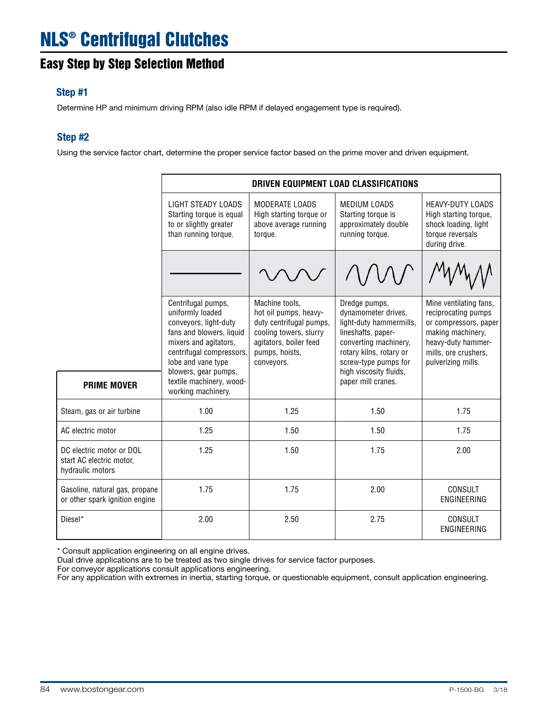# Easy Step by Step Selection Method

### Step #1

Determine HP and minimum driving RPM (also idle RPM if delayed engagement type is required).

### Step #2

Using the service factor chart, determine the proper service factor based on the prime mover and driven equipment.

|                                                                          |                                                                                                                                                                                                                            | DRIVEN EQUIPMENT LOAD CLASSIFICATIONS                                                                                                                  |                                                                                                                                                                                                                   |                                                                                                                                                                 |  |  |  |  |  |  |  |  |
|--------------------------------------------------------------------------|----------------------------------------------------------------------------------------------------------------------------------------------------------------------------------------------------------------------------|--------------------------------------------------------------------------------------------------------------------------------------------------------|-------------------------------------------------------------------------------------------------------------------------------------------------------------------------------------------------------------------|-----------------------------------------------------------------------------------------------------------------------------------------------------------------|--|--|--|--|--|--|--|--|
|                                                                          | LIGHT STEADY LOADS<br>Starting torque is equal<br>to or slightly greater<br>than running torque.                                                                                                                           | MODERATE LOADS<br>High starting torque or<br>above average running<br>torque.                                                                          | MEDIUM LOADS<br>Starting torque is<br>approximately double<br>running torque.                                                                                                                                     | <b>HEAVY-DUTY LOADS</b><br>High starting torque,<br>shock loading, light<br>torque reversals<br>during drive.                                                   |  |  |  |  |  |  |  |  |
|                                                                          |                                                                                                                                                                                                                            |                                                                                                                                                        |                                                                                                                                                                                                                   |                                                                                                                                                                 |  |  |  |  |  |  |  |  |
|                                                                          | Centrifugal pumps,<br>uniformly loaded<br>conveyors, light-duty<br>fans and blowers, liquid<br>mixers and agitators,<br>centrifugal compressors,<br>lobe and vane type<br>blowers, gear pumps,<br>textile machinery, wood- | Machine tools.<br>hot oil pumps, heavy-<br>duty centrifugal pumps,<br>cooling towers, slurry<br>agitators, boiler feed<br>pumps, hoists,<br>conveyors. | Dredge pumps,<br>dynamometer drives,<br>light-duty hammermills,<br>lineshafts, paper-<br>converting machinery,<br>rotary kilns, rotary or<br>screw-type pumps for<br>high viscosity fluids,<br>paper mill cranes. | Mine ventilating fans,<br>reciprocating pumps<br>or compressors, paper<br>making machinery,<br>heavy-duty hammer-<br>mills, ore crushers,<br>pulverizing mills. |  |  |  |  |  |  |  |  |
| <b>PRIME MOVER</b>                                                       | working machinery.                                                                                                                                                                                                         |                                                                                                                                                        |                                                                                                                                                                                                                   |                                                                                                                                                                 |  |  |  |  |  |  |  |  |
| Steam, gas or air turbine                                                | 1.00                                                                                                                                                                                                                       | 1.25                                                                                                                                                   | 1.50                                                                                                                                                                                                              | 1.75                                                                                                                                                            |  |  |  |  |  |  |  |  |
| AC electric motor                                                        | 1.25                                                                                                                                                                                                                       | 1.50                                                                                                                                                   | 1.50                                                                                                                                                                                                              | 1.75                                                                                                                                                            |  |  |  |  |  |  |  |  |
| DC electric motor or DOL<br>start AC electric motor,<br>hydraulic motors | 1.25                                                                                                                                                                                                                       | 1.50                                                                                                                                                   | 1.75                                                                                                                                                                                                              | 2.00                                                                                                                                                            |  |  |  |  |  |  |  |  |
| Gasoline, natural gas, propane<br>or other spark ignition engine         | 1.75                                                                                                                                                                                                                       | 1.75                                                                                                                                                   | 2.00                                                                                                                                                                                                              | <b>CONSULT</b><br>ENGINEERING                                                                                                                                   |  |  |  |  |  |  |  |  |
| Diesel*                                                                  | 2.00                                                                                                                                                                                                                       | 2.50                                                                                                                                                   | 2.75                                                                                                                                                                                                              | CONSULT<br><b>ENGINEERING</b>                                                                                                                                   |  |  |  |  |  |  |  |  |

\* Consult application engineering on all engine drives.

Dual drive applications are to be treated as two single drives for service factor purposes.

For conveyor applications consult applications engineering.

For any application with extremes in inertia, starting torque, or questionable equipment, consult application engineering.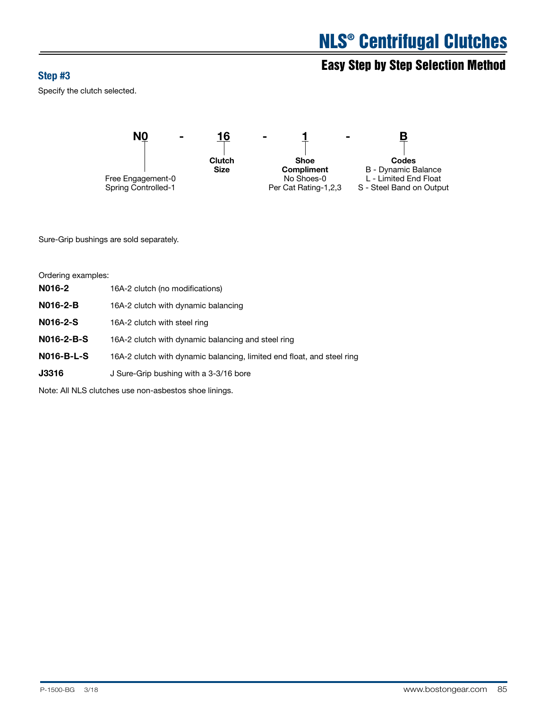# Easy Step by Step Selection Method<br>Step #3

Specify the clutch selected.



Sure-Grip bushings are sold separately.

| Ordering examples: |                                                                        |
|--------------------|------------------------------------------------------------------------|
| N016-2             | 16A-2 clutch (no modifications)                                        |
| <b>N016-2-B</b>    | 16A-2 clutch with dynamic balancing                                    |
| N016-2-S           | 16A-2 clutch with steel ring                                           |
| $N016-2-B-S$       | 16A-2 clutch with dynamic balancing and steel ring                     |
| <b>N016-B-L-S</b>  | 16A-2 clutch with dynamic balancing, limited end float, and steel ring |
| <b>J3316</b>       | J Sure-Grip bushing with a 3-3/16 bore                                 |
|                    |                                                                        |

Note: All NLS clutches use non-asbestos shoe linings.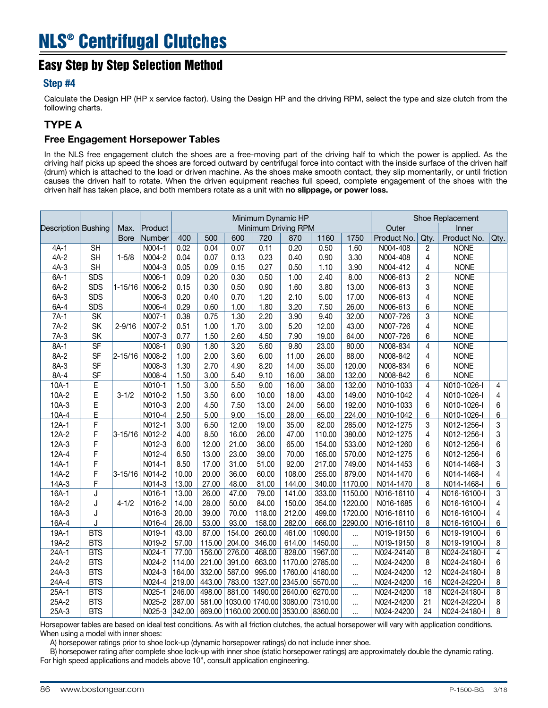## Easy Step by Step Selection Method

### Step #4

Calculate the Design HP (HP x service factor). Using the Design HP and the driving RPM, select the type and size clutch from the following charts.

### TYPE A

### Free Engagement Horsepower Tables

In the NLS free engagement clutch the shoes are a free-moving part of the driving half to which the power is applied. As the driving half picks up speed the shoes are forced outward by centrifugal force into contact with the inside surface of the driven half (drum) which is attached to the load or driven machine. As the shoes make smooth contact, they slip momentarily, or until friction causes the driven half to rotate. When the driven equipment reaches full speed, complete engagement of the shoes with the driven half has taken place, and both members rotate as a unit with no slippage, or power loss.

|                            |                          |             |          | Minimum Dynamic HP |                     |        |         |                                        |         |         | Shoe Replacement |                 |              |                |  |
|----------------------------|--------------------------|-------------|----------|--------------------|---------------------|--------|---------|----------------------------------------|---------|---------|------------------|-----------------|--------------|----------------|--|
| <b>Description</b> Bushing |                          | Max.        | Product  |                    | Minimum Driving RPM |        |         |                                        | Outer   |         | Inner            |                 |              |                |  |
|                            |                          | <b>Bore</b> | Number   | 400                | 500                 | 600    | 720     | 870                                    | 1160    | 1750    | Product No.      | Qty.            | Product No.  | Qty.           |  |
| $4A-1$                     | <b>SH</b>                |             | N004-1   | 0.02               | 0.04                | 0.07   | 0.11    | 0.20                                   | 0.50    | 1.60    | N004-408         | 2               | <b>NONE</b>  |                |  |
| $4A-2$                     | <b>SH</b>                | $1 - 5/8$   | N004-2   | 0.04               | 0.07                | 0.13   | 0.23    | 0.40                                   | 0.90    | 3.30    | N004-408         | 4               | <b>NONE</b>  |                |  |
| $4A-3$                     | <b>SH</b>                |             | N004-3   | 0.05               | 0.09                | 0.15   | 0.27    | 0.50                                   | 1.10    | 3.90    | N004-412         | 4               | <b>NONE</b>  |                |  |
| $6A-1$                     | <b>SDS</b>               |             | N006-1   | 0.09               | 0.20                | 0.30   | 0.50    | 1.00                                   | 2.40    | 8.00    | N006-613         | $\overline{c}$  | <b>NONE</b>  |                |  |
| $6A-2$                     | <b>SDS</b>               | $1 - 15/16$ | N006-2   | 0.15               | 0.30                | 0.50   | 0.90    | 1.60                                   | 3.80    | 13.00   | N006-613         | 3               | <b>NONE</b>  |                |  |
| $6A-3$                     | <b>SDS</b>               |             | N006-3   | 0.20               | 0.40                | 0.70   | 1.20    | 2.10                                   | 5.00    | 17.00   | N006-613         | 4               | <b>NONE</b>  |                |  |
| $6A-4$                     | <b>SDS</b>               |             | N006-4   | 0.29               | 0.60                | 1.00   | 1.80    | 3.20                                   | 7.50    | 26.00   | N006-613         | 6               | <b>NONE</b>  |                |  |
| $7A-1$                     | $\overline{\text{SK}}$   |             | N007-1   | 0.38               | 0.75                | 1.30   | 2.20    | 3.90                                   | 9.40    | 32.00   | N007-726         | 3               | <b>NONE</b>  |                |  |
| $7A-2$                     | SK                       | $2 - 9/16$  | N007-2   | 0.51               | 1.00                | 1.70   | 3.00    | 5.20                                   | 12.00   | 43.00   | N007-726         | 4               | <b>NONE</b>  |                |  |
| $7A-3$                     | SK                       |             | N007-3   | 0.77               | 1.50                | 2.60   | 4.50    | 7.90                                   | 19.00   | 64.00   | N007-726         | 6               | <b>NONE</b>  |                |  |
| $8A-1$                     | $\overline{\mathsf{SF}}$ |             | N008-1   | 0.90               | 1.80                | 3.20   | 5.60    | 9.80                                   | 23.00   | 80.00   | N008-834         | 4               | <b>NONE</b>  |                |  |
| 8A-2                       | <b>SF</b>                | $2 - 15/16$ | N008-2   | 1.00               | 2.00                | 3.60   | 6.00    | 11.00                                  | 26.00   | 88.00   | N008-842         | 4               | <b>NONE</b>  |                |  |
| 8A-3                       | <b>SF</b>                |             | N008-3   | 1.30               | 2.70                | 4.90   | 8.20    | 14.00                                  | 35.00   | 120.00  | N008-834         | 6               | <b>NONE</b>  |                |  |
| 8A-4                       | <b>SF</b>                |             | N008-4   | 1.50               | 3.00                | 5.40   | 9.10    | 16.00                                  | 38.00   | 132.00  | N008-842         | 6               | <b>NONE</b>  |                |  |
| $10A-1$                    | $\overline{E}$           |             | N010-1   | 1.50               | 3.00                | 5.50   | 9.00    | 16.00                                  | 38.00   | 132.00  | N010-1033        | 4               | N010-1026-I  | 4              |  |
| $10A-2$                    | E                        | $3 - 1/2$   | N010-2   | 1.50               | 3.50                | 6.00   | 10.00   | 18.00                                  | 43.00   | 149.00  | N010-1042        | 4               | N010-1026-I  | 4              |  |
| $10A-3$                    | E                        |             | N010-3   | 2.00               | 4.50                | 7.50   | 13.00   | 24.00                                  | 56.00   | 192.00  | N010-1033        | 6               | N010-1026-I  | $\,6$          |  |
| $10A-4$                    | E                        |             | N010-4   | 2.50               | 5.00                | 9.00   | 15.00   | 28.00                                  | 65.00   | 224.00  | N010-1042        | 6               | N010-1026-I  | 6              |  |
| $12A-1$                    | F                        |             | N012-1   | 3.00               | 6.50                | 12.00  | 19.00   | 35.00                                  | 82.00   | 285.00  | N012-1275        | 3               | N012-1256-I  | 3              |  |
| $12A-2$                    | F                        | $3 - 15/16$ | N012-2   | 4.00               | 8.50                | 16.00  | 26.00   | 47.00                                  | 110.00  | 380.00  | N012-1275        | 4               | N012-1256-I  | 3              |  |
| $12A-3$                    | F                        |             | N012-3   | 6.00               | 12.00               | 21.00  | 36.00   | 65.00                                  | 154.00  | 533.00  | N012-1260        | 6               | N012-1256-I  | 6              |  |
| $12A-4$                    | F                        |             | N012-4   | 6.50               | 13.00               | 23.00  | 39.00   | 70.00                                  | 165.00  | 570.00  | N012-1275        | 6               | N012-1256-I  | 6              |  |
| $14A-1$                    | $\overline{F}$           |             | N014-1   | 8.50               | 17.00               | 31.00  | 51.00   | 92.00                                  | 217.00  | 749.00  | N014-1453        | 6               | N014-1468-I  | 3              |  |
| $14A-2$                    | F                        | $3 - 15/16$ | N014-2   | 10.00              | 20.00               | 36.00  | 60.00   | 108.00                                 | 255.00  | 879.00  | N014-1470        | 6               | N014-1468-I  | 4              |  |
| $14A-3$                    | F                        |             | N014-3   | 13.00              | 27.00               | 48.00  | 81.00   | 144.00                                 | 340.00  | 1170.00 | N014-1470        | 8               | N014-1468-I  | 6              |  |
| $16A-1$                    | J                        |             | N016-1   | 13.00              | 26.00               | 47.00  | 79.00   | 141.00                                 | 333.00  | 1150.00 | N016-16110       | $\overline{4}$  | N016-16100-I | 3              |  |
| 16A-2                      | J                        | $4 - 1/2$   | N016-2   | 14.00              | 28.00               | 50.00  | 84.00   | 150.00                                 | 354.00  | 1220.00 | N016-1685        | 6               | N016-16100-I | 4              |  |
| 16A-3                      | J                        |             | N016-3   | 20.00              | 39.00               | 70.00  | 118.00  | 212.00                                 | 499.00  | 1720.00 | N016-16110       | 6               | N016-16100-I | 4              |  |
| 16A-4                      | J                        |             | N016-4   | 26.00              | 53.00               | 93.00  | 158.00  | 282.00                                 | 666.00  | 2290.00 | N016-16110       | 8               | N016-16100-I | 6              |  |
| $19A-1$                    | <b>BTS</b>               |             | N019-1   | 43.00              | 87.00               | 154.00 | 260.00  | 461.00                                 | 1090.00 |         | N019-19150       | 6               | N019-19100-I | 6              |  |
| 19A-2                      | <b>BTS</b>               |             | N019-2   | 57.00              | 115.00              | 204.00 | 346.00  | 614.00                                 | 1450.00 |         | N019-19150       | 8               | N019-19100-I | 8              |  |
| $24A-1$                    | <b>BTS</b>               |             | $N024-1$ | 77.00              | 156.00              | 276.00 | 468.00  | 828.00                                 | 1967.00 |         | N024-24140       | 8               | N024-24180-I | 4              |  |
| 24A-2                      | <b>BTS</b>               |             | N024-2   | 114.00             | 221.00              | 391.00 | 663.00  | 1170.00                                | 2785.00 |         | N024-24200       | 8               | N024-24180-I | 6              |  |
| 24A-3                      | <b>BTS</b>               |             | N024-3   | 164.00             | 332.00              | 587.00 | 995.00  | 1760.00                                | 4180.00 |         | N024-24200       | 12              | N024-24180-I | 8              |  |
| 24A-4                      | <b>BTS</b>               |             | N024-4   | 219.00             | 443.00              | 783.00 | 1327.00 | 2345.00                                | 5570.00 |         | N024-24200       | 16              | N024-24220-I | 8              |  |
| $25A-1$                    | <b>BTS</b>               |             | N025-1   | 246.00             | 498.00              | 881.00 |         | 1490.00 2640.00                        | 6270.00 |         | N024-24200       | $\overline{18}$ | N024-24180-I | $\overline{8}$ |  |
| 25A-2                      | <b>BTS</b>               |             | N025-2   | 287.00             |                     |        |         | 581.00 1030.00 1740.00 3080.00         | 7310.00 |         | N024-24200       | 21              | N024-24220-I | 8              |  |
| 25A-3                      | <b>BTS</b>               |             | N025-3   | 342.00             |                     |        |         | 669.00 1160.00 2000.00 3530.00 8360.00 |         |         | N024-24200       | 24              | N024-24180-I | 8              |  |

Horsepower tables are based on ideal test conditions. As with all friction clutches, the actual horsepower will vary with application conditions. When using a model with inner shoes:

A) horsepower ratings prior to shoe lock-up (dynamic horsepower ratings) do not include inner shoe.

 B) horsepower rating after complete shoe lock-up with inner shoe (static horsepower ratings) are approximately double the dynamic rating. For high speed applications and models above 10", consult application engineering.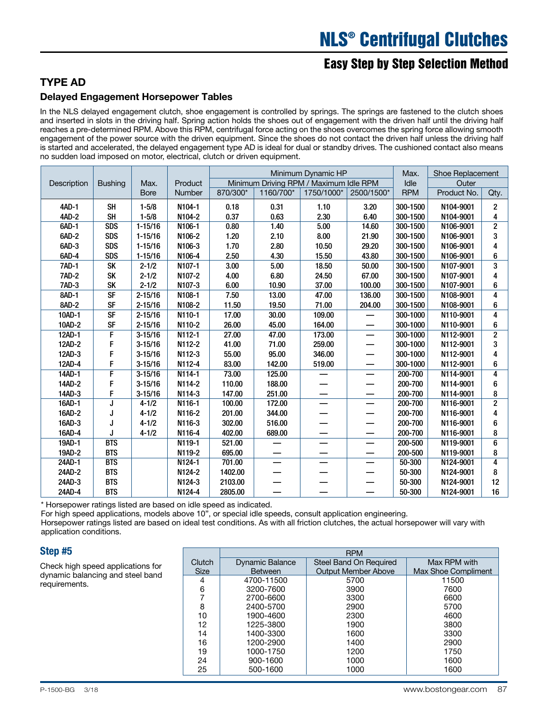# Easy Step by Step Selection Method

### TYPE AD

### Delayed Engagement Horsepower Tables

In the NLS delayed engagement clutch, shoe engagement is controlled by springs. The springs are fastened to the clutch shoes and inserted in slots in the driving half. Spring action holds the shoes out of engagement with the driven half until the driving half reaches a pre-determined RPM. Above this RPM, centrifugal force acting on the shoes overcomes the spring force allowing smooth engagement of the power source with the driven equipment. Since the shoes do not contact the driven half unless the driving half is started and accelerated, the delayed engagement type AD is ideal for dual or standby drives. The cushioned contact also means no sudden load imposed on motor, electrical, clutch or driven equipment.

|              |                          |             |          |          | Minimum Dynamic HP                     | Max.       | <b>Shoe Replacement</b> |            |             |                         |
|--------------|--------------------------|-------------|----------|----------|----------------------------------------|------------|-------------------------|------------|-------------|-------------------------|
| Description  | <b>Bushing</b>           | Max.        | Product  |          | Minimum Driving RPM / Maximum Idle RPM |            |                         | Idle       | Outer       |                         |
|              |                          | <b>Bore</b> | Number   | 870/300* | 1160/700*                              | 1750/1000* | 2500/1500*              | <b>RPM</b> | Product No. | Qty.                    |
| 4AD-1        | <b>SH</b>                | $1 - 5/8$   | N104-1   | 0.18     | 0.31                                   | 1.10       | 3.20                    | 300-1500   | N104-9001   | $\overline{2}$          |
| $4AD-2$      | <b>SH</b>                | $1 - 5/8$   | N104-2   | 0.37     | 0.63                                   | 2.30       | 6.40                    | 300-1500   | N104-9001   | 4                       |
| 6AD-1        | SDS                      | $1 - 15/16$ | N106-1   | 0.80     | 1.40                                   | 5.00       | 14.60                   | 300-1500   | N106-9001   | $\overline{2}$          |
| 6AD-2        | <b>SDS</b>               | $1 - 15/16$ | N106-2   | 1.20     | 2.10                                   | 8.00       | 21.90                   | 300-1500   | N106-9001   | 3                       |
| 6AD-3        | <b>SDS</b>               | $1 - 15/16$ | N106-3   | 1.70     | 2.80                                   | 10.50      | 29.20                   | 300-1500   | N106-9001   | 4                       |
| 6AD-4        | <b>SDS</b>               | $1 - 15/16$ | N106-4   | 2.50     | 4.30                                   | 15.50      | 43.80                   | 300-1500   | N106-9001   | 6                       |
| <b>7AD-1</b> | <b>SK</b>                | $2 - 1/2$   | N107-1   | 3.00     | 5.00                                   | 18.50      | 50.00                   | 300-1500   | N107-9001   | 3                       |
| <b>7AD-2</b> | <b>SK</b>                | $2 - 1/2$   | N107-2   | 4.00     | 6.80                                   | 24.50      | 67.00                   | 300-1500   | N107-9001   | 4                       |
| <b>7AD-3</b> | <b>SK</b>                | $2 - 1/2$   | N107-3   | 6.00     | 10.90                                  | 37.00      | 100.00                  | 300-1500   | N107-9001   | 6                       |
| 8AD-1        | $\overline{\mathsf{SF}}$ | $2 - 15/16$ | N108-1   | 7.50     | 13.00                                  | 47.00      | 136.00                  | 300-1500   | N108-9001   | 4                       |
| 8AD-2        | <b>SF</b>                | $2 - 15/16$ | N108-2   | 11.50    | 19.50                                  | 71.00      | 204.00                  | 300-1500   | N108-9001   | 6                       |
| 10AD-1       | <b>SF</b>                | $2 - 15/16$ | N110-1   | 17.00    | 30.00                                  | 109.00     |                         | 300-1000   | N110-9001   | $\overline{\mathbf{A}}$ |
| 10AD-2       | <b>SF</b>                | $2 - 15/16$ | N110-2   | 26.00    | 45.00                                  | 164.00     |                         | 300-1000   | N110-9001   | 6                       |
| 12AD-1       | $\overline{F}$           | $3 - 15/16$ | N112-1   | 27.00    | 47.00                                  | 173.00     |                         | 300-1000   | N112-9001   | $\overline{2}$          |
| 12AD-2       | F                        | $3 - 15/16$ | N112-2   | 41.00    | 71.00                                  | 259.00     |                         | 300-1000   | N112-9001   | 3                       |
| 12AD-3       | F                        | $3 - 15/16$ | N112-3   | 55.00    | 95.00                                  | 346.00     |                         | 300-1000   | N112-9001   | 4                       |
| 12AD-4       | F                        | $3 - 15/16$ | N112-4   | 83.00    | 142.00                                 | 519.00     |                         | 300-1000   | N112-9001   | 6                       |
| 14AD-1       | $\overline{F}$           | $3 - 15/16$ | $N114-1$ | 73.00    | 125.00                                 |            |                         | 200-700    | N114-9001   | 4                       |
| 14AD-2       | F                        | $3 - 15/16$ | N114-2   | 110.00   | 188.00                                 |            |                         | 200-700    | N114-9001   | 6                       |
| 14AD-3       | F                        | $3 - 15/16$ | N114-3   | 147.00   | 251.00                                 |            |                         | 200-700    | N114-9001   | 8                       |
| 16AD-1       | J                        | $4 - 1/2$   | N116-1   | 100.00   | 172.00                                 |            |                         | 200-700    | N116-9001   | $\overline{2}$          |
| 16AD-2       | J                        | $4 - 1/2$   | N116-2   | 201.00   | 344.00                                 |            |                         | 200-700    | N116-9001   | 4                       |
| 16AD-3       | J                        | $4 - 1/2$   | N116-3   | 302.00   | 516.00                                 |            |                         | 200-700    | N116-9001   | 6                       |
| 16AD-4       |                          | $4 - 1/2$   | N116-4   | 402.00   | 689.00                                 | —          |                         | 200-700    | N116-9001   | 8                       |
| 19AD-1       | <b>BTS</b>               |             | N119-1   | 521.00   |                                        |            |                         | 200-500    | N119-9001   | 6                       |
| 19AD-2       | <b>BTS</b>               |             | N119-2   | 695.00   |                                        |            |                         | 200-500    | N119-9001   | 8                       |
| 24AD-1       | <b>BTS</b>               |             | $N124-1$ | 701.00   |                                        |            |                         | 50-300     | N124-9001   | 4                       |
| 24AD-2       | <b>BTS</b>               |             | N124-2   | 1402.00  |                                        |            |                         | 50-300     | N124-9001   | 8                       |
| 24AD-3       | <b>BTS</b>               |             | N124-3   | 2103.00  |                                        |            |                         | 50-300     | N124-9001   | 12                      |
| 24AD-4       | <b>BTS</b>               |             | N124-4   | 2805.00  |                                        |            |                         | 50-300     | N124-9001   | 16                      |

\* Horsepower ratings listed are based on idle speed as indicated.

For high speed applications, models above 10", or special idle speeds, consult application engineering.

Horsepower ratings listed are based on ideal test conditions. As with all friction clutches, the actual horsepower will vary with application conditions.

### Step #5

Check high speed applications for dynamic balancing and steel band requirements.

|             |                        | <b>RPM</b>                 |                     |
|-------------|------------------------|----------------------------|---------------------|
| Clutch      | <b>Dynamic Balance</b> | Steel Band On Required     | Max RPM with        |
| <b>Size</b> | <b>Between</b>         | <b>Output Member Above</b> | Max Shoe Compliment |
| 4           | 4700-11500             | 5700                       | 11500               |
| 6           | 3200-7600              | 3900                       | 7600                |
|             | 2700-6600              | 3300                       | 6600                |
| 8           | 2400-5700              | 2900                       | 5700                |
| 10          | 1900-4600              | 2300                       | 4600                |
| 12          | 1225-3800              | 1900                       | 3800                |
| 14          | 1400-3300              | 1600                       | 3300                |
| 16          | 1200-2900              | 1400                       | 2900                |
| 19          | 1000-1750              | 1200                       | 1750                |
| 24          | 900-1600               | 1000                       | 1600                |
| 25          | 500-1600               | 1000                       | 1600                |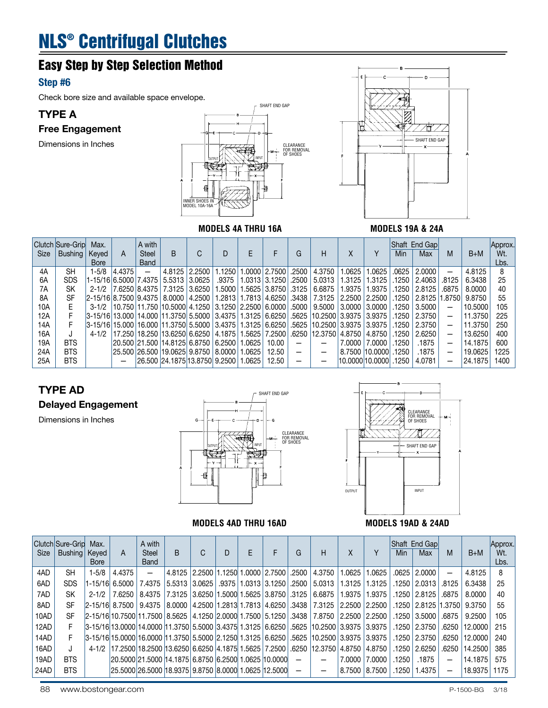# Easy Step by Step Selection Method

### Step #6

Check bore size and available space envelope.

## TYPE A

Free Engagement

Dimensions in Inches





### **MODELS 4A THRU 16A** MODELS 19A & 24A

|             | <b>Clutch Sure-Grip</b> | Max.                    |        | A with              |                                                           |                 |          |       |                     |       |                          |        |                        |         | Shaft End Gap |                          |         | Approx. |
|-------------|-------------------------|-------------------------|--------|---------------------|-----------------------------------------------------------|-----------------|----------|-------|---------------------|-------|--------------------------|--------|------------------------|---------|---------------|--------------------------|---------|---------|
| <b>Size</b> | Bushing                 | Keved                   | A      | <b>Steel</b>        | B.                                                        | C               | D        |       |                     | G     | н                        | Χ      |                        | Min     | Max           | М                        | $B+M$   | Wt.     |
|             |                         | <b>Bore</b>             |        | <b>Band</b>         |                                                           |                 |          |       |                     |       |                          |        |                        |         |               |                          |         | Lbs.    |
| 4A          | SH                      | 1-5/8                   | 4.4375 | $\qquad \qquad -$   |                                                           | 4.8125 2.2500   | 1.1250 l |       | $.0000$ 2.7500      | .2500 | 4.3750                   | .0625  | .0625                  | .0625   | 2.0000        |                          | 4.8125  |         |
| 6A          | SDS                     | 1-15/16 6.5000 7.4375   |        |                     |                                                           | 5.5313 3.0625   | .9375    |       | 1.0313 3.1250 .2500 |       | 5.0313                   | 1.3125 | 1.3125                 | .1250   | 2.4063        | .8125                    | 6.3438  | 25      |
| 7A          | <b>SK</b>               |                         |        | 2-1/2 7.6250 8.4375 |                                                           | 7.3125 3.6250   | 1.5000   |       | 1.5625 3.8750 3.125 |       | 6.6875                   | 1.9375 | 1.9375                 | .1250   | 2.8125        | .6875                    | 8.0000  | 40      |
| 8A          | SF                      | $2-15/16$ 8.7500 9.4375 |        |                     |                                                           | 8.0000   4.2500 | 1.281311 |       | 1.7813 4.6250       | .3438 | 7.3125                   | 2.2500 | 2.2500                 | .1250丨  | 2.8125        | 1.8750                   | 9.8750  | 55      |
| 10A         |                         |                         |        |                     | 3-1/2 10.750 11.750 10.5000 4.1250 3.1250 2.2500 6.0000   |                 |          |       |                     | .5000 | 9.5000                   | 3.0000 | 3.0000                 | .1250   | 3.5000        |                          | 10.5000 | 105     |
| 12A         |                         |                         |        |                     | 3-15/16 13.000 14.000 11.3750 5.5000 3.4375 1.3125 6.6250 |                 |          |       |                     |       | .5625   10.2500   3.9375 |        | 3.9375                 | .1250   | 2.3750        | $\overline{\phantom{0}}$ | 11.3750 | 225     |
| 14A         |                         |                         |        |                     | 3-15/16 15.000 16.000 11.3750 5.5000 3.4375 1.3125 6.6250 |                 |          |       |                     |       | .5625   10.2500   3.9375 |        | 3.9375                 | .1250   | 2.3750        | -                        | 11.3750 | 250     |
| 16A         |                         | $4 - 1/2$               |        |                     | 17.250  18.250  13.6250   6.6250   4.1875   1             |                 |          |       | 1.5625   7.2500     | .6250 | 12.3750                  | 4.8750 | 4.8750                 | ا 1250. | 2.6250        | -                        | 13.6250 | 400     |
| 19A         | <b>BTS</b>              |                         |        |                     | 20.500   21.500   14.8125   6.8750   6.2500               |                 |          | .0625 | 10.00               | -     |                          | 7.0000 | 7.0000                 | .1250   | .1875         | $\overline{\phantom{0}}$ | 14.1875 | 600     |
| 24A         | <b>BTS</b>              |                         |        |                     | 25.500   26.500   19.0625   9.8750   8.0000               |                 |          | .0625 | 12.50               | -     | –                        |        | 8.7500 10.0000         | .1250   | .1875         | $\overline{\phantom{0}}$ | 19.0625 | 1225    |
| 25A         | <b>BTS</b>              |                         |        |                     | 26.500 24.1875 13.8750 9.2500   1.0625                    |                 |          |       | 12.50               |       |                          |        | l10.0000l10.0000l.1250 |         | 4.0781        | -                        | 24.1875 | 1400    |

### TYPE AD

### Delayed Engagement

Dimensions in Inches



### **MODELS 4AD THRU 16AD MODELS 19AD & 24AD**



| <b>Size</b> | Clutch Sure-Grip<br>Bushing | Max.<br>Keyed<br><b>Bore</b> | A                       | A with<br><b>Steel</b><br><b>Band</b>                                                                  | <sub>B</sub>                               | C | D |  | G               | н                                                                        | Χ      |                 | <b>Min</b>     | Shaft End Gap<br>Max    | M               | $B+M$   | Approx.<br>Wt.<br>Lbs. |
|-------------|-----------------------------|------------------------------|-------------------------|--------------------------------------------------------------------------------------------------------|--------------------------------------------|---|---|--|-----------------|--------------------------------------------------------------------------|--------|-----------------|----------------|-------------------------|-----------------|---------|------------------------|
| 4AD         | <b>SH</b>                   | $1 - 5/8$                    | 4.4375                  | —                                                                                                      | 4.8125   2.2500   1.1250   1.0000   2.7500 |   |   |  | .2500           | 4.3750                                                                   | 1.0625 | 1.0625          | .0625          | 2.0000                  | $\qquad \qquad$ | 4.8125  | 8                      |
| 6AD         | <b>SDS</b>                  |                              | 11-15/16  6.5000        | 7.4375                                                                                                 | 5.5313   3.0625   .9375   1.0313   3.1250  |   |   |  |                 | .2500   5.0313                                                           |        | 1.3125 1.3125   |                | .1250   2.0313          | .8125           | 6.3438  | 25                     |
| 7AD         | <b>SK</b>                   | $2 - 1/2$ 1                  |                         | 7.6250   8.4375   7.3125   3.6250   1.5000   1.5625   3.8750   .3125   6.6875                          |                                            |   |   |  |                 |                                                                          |        | 1.9375 1.9375   |                | .1250   2.8125          | .6875           | 8.0000  | 40                     |
| 8AD         | <b>SF</b>                   |                              | $2-15/16$ 8.7500 9.4375 |                                                                                                        |                                            |   |   |  |                 | 8.0000  4.2500  1.2813  1.7813  4.6250   3438   7.3125   2.2500   2.2500 |        |                 |                | .1250   2.8125   1.3750 |                 | 9.3750  | 55                     |
| 10AD        | <b>SF</b>                   |                              |                         | 2.2500 2.2500 2.2500 8.5625 4.1250 2.0000 1.7500 5.1250 3438 7.8750 2.2500 2.2500                      |                                            |   |   |  |                 |                                                                          |        |                 |                | ا 3.5000 1250.          | .6875           | 9.2500  | 105                    |
| 12AD        |                             |                              |                         | 3.9375  3.9375  3.9375  2.9375  2.9375  2.9375  2.9375  3.4375  3.94375  3.925  3.9375  3.9375  3.9375 |                                            |   |   |  |                 |                                                                          |        |                 |                | ا 2.3750 ا 1250.        | .6250           | 12.0000 | 215                    |
| 14AD        |                             |                              |                         | 3-15/16 15.0000 16.0000  11.3750  5.5000  2.1250  1.3125   6.6250   .5625   10.2500   3.9375   3.9375  |                                            |   |   |  |                 |                                                                          |        |                 |                | ا 2.3750 ا 1250.        | .6250           | 12.0000 | 240                    |
| 16AD        |                             |                              |                         | 4-1/2 17.2500 18.2500 13.6250 6.6250 4.1875 1.5625 7.2500                                              |                                            |   |   |  |                 | .6250 12.3750 4.8750 14.8750                                             |        |                 | $.1250$ $\mid$ | 2.6250                  | .6250           | 14.2500 | 385                    |
| 19AD        | <b>BTS</b>                  |                              |                         | 20.5000 21.5000 14.1875 6.8750 6.2500 1.0625 10.0000                                                   |                                            |   |   |  | $\qquad \qquad$ |                                                                          | 7.0000 | 7.0000          | .1250          | .1875                   |                 | 14.1875 | 575                    |
| 24AD        | <b>BTS</b>                  |                              |                         | 25.5000 26.5000 18.9375 9.8750 8.0000 1.0625 12.5000                                                   |                                            |   |   |  |                 |                                                                          |        | 8.7500   8.7500 | ا 1250.        | 1.4375                  |                 | 18.9375 | 1175                   |